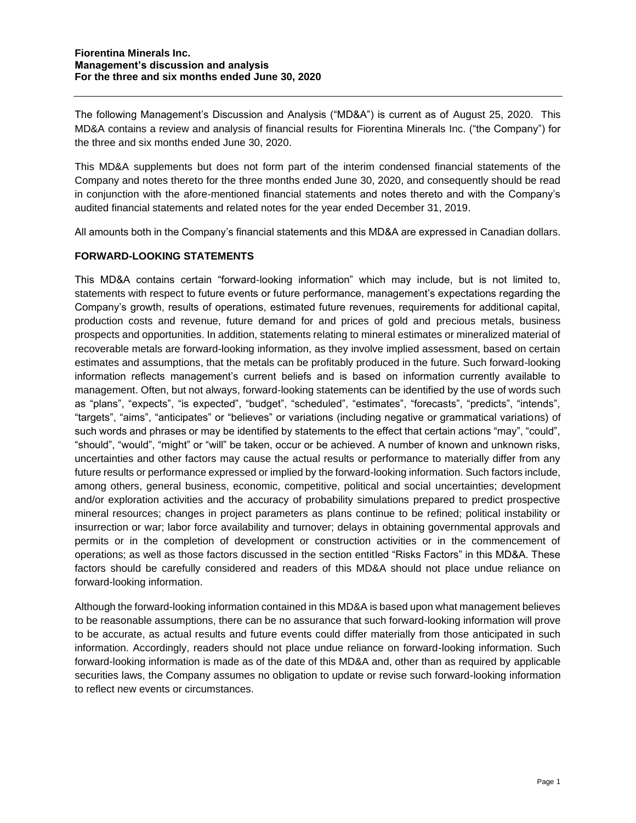The following Management's Discussion and Analysis ("MD&A") is current as of August 25, 2020. This MD&A contains a review and analysis of financial results for Fiorentina Minerals Inc. ("the Company") for the three and six months ended June 30, 2020.

This MD&A supplements but does not form part of the interim condensed financial statements of the Company and notes thereto for the three months ended June 30, 2020, and consequently should be read in conjunction with the afore-mentioned financial statements and notes thereto and with the Company's audited financial statements and related notes for the year ended December 31, 2019.

All amounts both in the Company's financial statements and this MD&A are expressed in Canadian dollars.

## **FORWARD-LOOKING STATEMENTS**

This MD&A contains certain "forward-looking information" which may include, but is not limited to, statements with respect to future events or future performance, management's expectations regarding the Company's growth, results of operations, estimated future revenues, requirements for additional capital, production costs and revenue, future demand for and prices of gold and precious metals, business prospects and opportunities. In addition, statements relating to mineral estimates or mineralized material of recoverable metals are forward-looking information, as they involve implied assessment, based on certain estimates and assumptions, that the metals can be profitably produced in the future. Such forward-looking information reflects management's current beliefs and is based on information currently available to management. Often, but not always, forward-looking statements can be identified by the use of words such as "plans", "expects", "is expected", "budget", "scheduled", "estimates", "forecasts", "predicts", "intends", "targets", "aims", "anticipates" or "believes" or variations (including negative or grammatical variations) of such words and phrases or may be identified by statements to the effect that certain actions "may", "could", "should", "would", "might" or "will" be taken, occur or be achieved. A number of known and unknown risks, uncertainties and other factors may cause the actual results or performance to materially differ from any future results or performance expressed or implied by the forward-looking information. Such factors include, among others, general business, economic, competitive, political and social uncertainties; development and/or exploration activities and the accuracy of probability simulations prepared to predict prospective mineral resources; changes in project parameters as plans continue to be refined; political instability or insurrection or war; labor force availability and turnover; delays in obtaining governmental approvals and permits or in the completion of development or construction activities or in the commencement of operations; as well as those factors discussed in the section entitled "Risks Factors" in this MD&A. These factors should be carefully considered and readers of this MD&A should not place undue reliance on forward-looking information.

Although the forward-looking information contained in this MD&A is based upon what management believes to be reasonable assumptions, there can be no assurance that such forward-looking information will prove to be accurate, as actual results and future events could differ materially from those anticipated in such information. Accordingly, readers should not place undue reliance on forward-looking information. Such forward-looking information is made as of the date of this MD&A and, other than as required by applicable securities laws, the Company assumes no obligation to update or revise such forward-looking information to reflect new events or circumstances.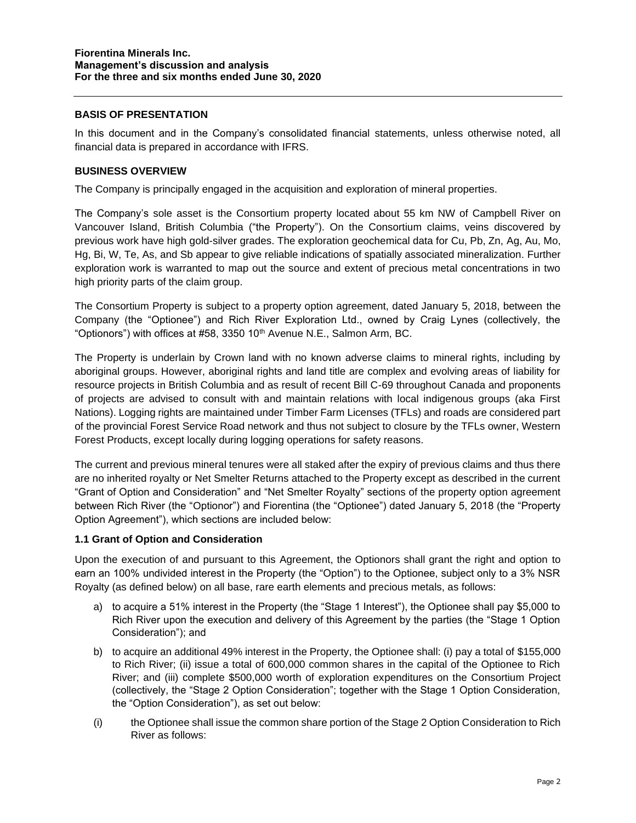### **BASIS OF PRESENTATION**

In this document and in the Company's consolidated financial statements, unless otherwise noted, all financial data is prepared in accordance with IFRS.

### **BUSINESS OVERVIEW**

The Company is principally engaged in the acquisition and exploration of mineral properties.

The Company's sole asset is the Consortium property located about 55 km NW of Campbell River on Vancouver Island, British Columbia ("the Property"). On the Consortium claims, veins discovered by previous work have high gold-silver grades. The exploration geochemical data for Cu, Pb, Zn, Ag, Au, Mo, Hg, Bi, W, Te, As, and Sb appear to give reliable indications of spatially associated mineralization. Further exploration work is warranted to map out the source and extent of precious metal concentrations in two high priority parts of the claim group.

The Consortium Property is subject to a property option agreement, dated January 5, 2018, between the Company (the "Optionee") and Rich River Exploration Ltd., owned by Craig Lynes (collectively, the "Optionors") with offices at #58, 3350 10<sup>th</sup> Avenue N.E., Salmon Arm, BC.

The Property is underlain by Crown land with no known adverse claims to mineral rights, including by aboriginal groups. However, aboriginal rights and land title are complex and evolving areas of liability for resource projects in British Columbia and as result of recent Bill C-69 throughout Canada and proponents of projects are advised to consult with and maintain relations with local indigenous groups (aka First Nations). Logging rights are maintained under Timber Farm Licenses (TFLs) and roads are considered part of the provincial Forest Service Road network and thus not subject to closure by the TFLs owner, Western Forest Products, except locally during logging operations for safety reasons.

The current and previous mineral tenures were all staked after the expiry of previous claims and thus there are no inherited royalty or Net Smelter Returns attached to the Property except as described in the current "Grant of Option and Consideration" and "Net Smelter Royalty" sections of the property option agreement between Rich River (the "Optionor") and Fiorentina (the "Optionee") dated January 5, 2018 (the "Property Option Agreement"), which sections are included below:

### **1.1 Grant of Option and Consideration**

Upon the execution of and pursuant to this Agreement, the Optionors shall grant the right and option to earn an 100% undivided interest in the Property (the "Option") to the Optionee, subject only to a 3% NSR Royalty (as defined below) on all base, rare earth elements and precious metals, as follows:

- a) to acquire a 51% interest in the Property (the "Stage 1 Interest"), the Optionee shall pay \$5,000 to Rich River upon the execution and delivery of this Agreement by the parties (the "Stage 1 Option Consideration"); and
- b) to acquire an additional 49% interest in the Property, the Optionee shall: (i) pay a total of \$155,000 to Rich River; (ii) issue a total of 600,000 common shares in the capital of the Optionee to Rich River; and (iii) complete \$500,000 worth of exploration expenditures on the Consortium Project (collectively, the "Stage 2 Option Consideration"; together with the Stage 1 Option Consideration, the "Option Consideration"), as set out below:
- (i) the Optionee shall issue the common share portion of the Stage 2 Option Consideration to Rich River as follows: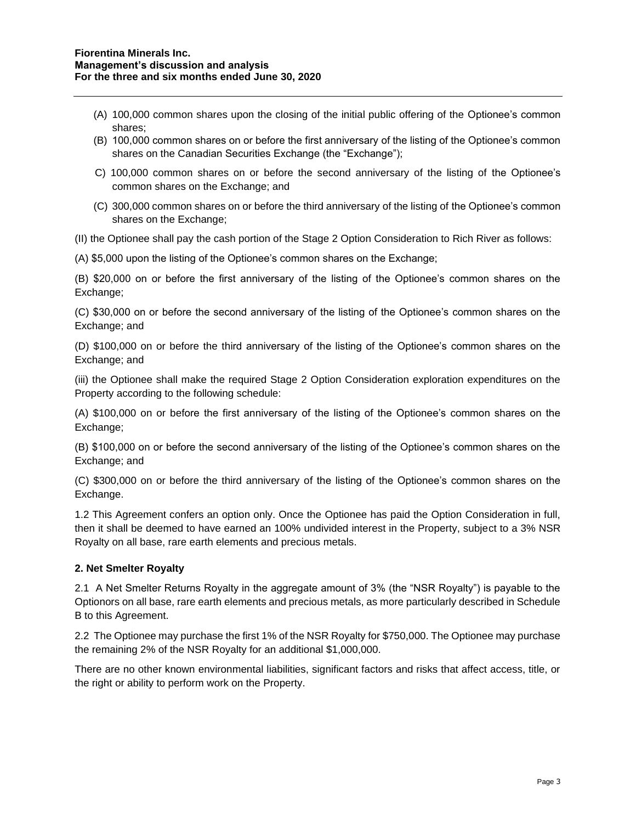- (A) 100,000 common shares upon the closing of the initial public offering of the Optionee's common shares;
- (B) 100,000 common shares on or before the first anniversary of the listing of the Optionee's common shares on the Canadian Securities Exchange (the "Exchange");
- C) 100,000 common shares on or before the second anniversary of the listing of the Optionee's common shares on the Exchange; and
- (C) 300,000 common shares on or before the third anniversary of the listing of the Optionee's common shares on the Exchange;

(II) the Optionee shall pay the cash portion of the Stage 2 Option Consideration to Rich River as follows:

(A) \$5,000 upon the listing of the Optionee's common shares on the Exchange;

(B) \$20,000 on or before the first anniversary of the listing of the Optionee's common shares on the Exchange;

(C) \$30,000 on or before the second anniversary of the listing of the Optionee's common shares on the Exchange; and

(D) \$100,000 on or before the third anniversary of the listing of the Optionee's common shares on the Exchange; and

(iii) the Optionee shall make the required Stage 2 Option Consideration exploration expenditures on the Property according to the following schedule:

(A) \$100,000 on or before the first anniversary of the listing of the Optionee's common shares on the Exchange;

(B) \$100,000 on or before the second anniversary of the listing of the Optionee's common shares on the Exchange; and

(C) \$300,000 on or before the third anniversary of the listing of the Optionee's common shares on the Exchange.

1.2 This Agreement confers an option only. Once the Optionee has paid the Option Consideration in full, then it shall be deemed to have earned an 100% undivided interest in the Property, subject to a 3% NSR Royalty on all base, rare earth elements and precious metals.

## **2. Net Smelter Royalty**

2.1 A Net Smelter Returns Royalty in the aggregate amount of 3% (the "NSR Royalty") is payable to the Optionors on all base, rare earth elements and precious metals, as more particularly described in Schedule B to this Agreement.

2.2 The Optionee may purchase the first 1% of the NSR Royalty for \$750,000. The Optionee may purchase the remaining 2% of the NSR Royalty for an additional \$1,000,000.

There are no other known environmental liabilities, significant factors and risks that affect access, title, or the right or ability to perform work on the Property.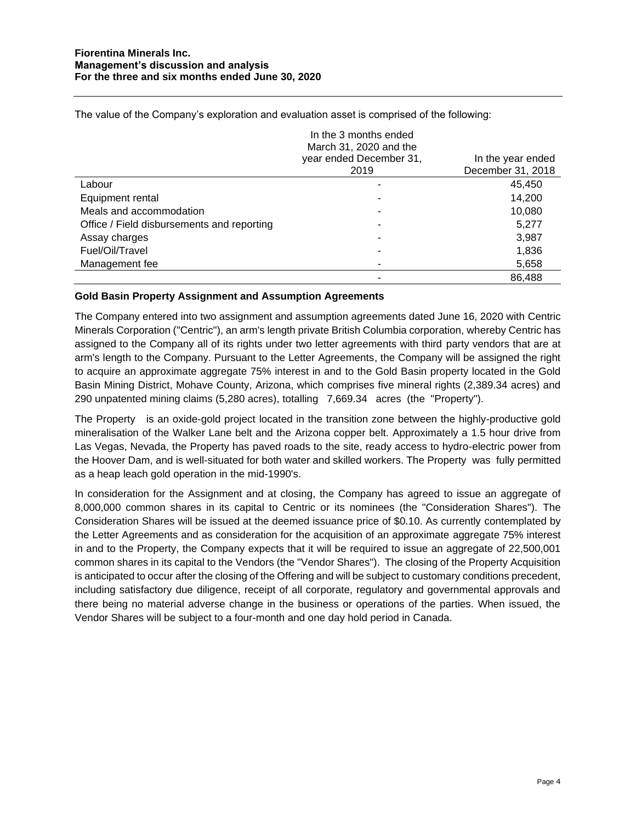The value of the Company's exploration and evaluation asset is comprised of the following:

|                                            | In the 3 months ended<br>March 31, 2020 and the |                   |
|--------------------------------------------|-------------------------------------------------|-------------------|
|                                            | year ended December 31,                         | In the year ended |
|                                            | 2019                                            | December 31, 2018 |
| Labour                                     |                                                 | 45,450            |
| Equipment rental                           |                                                 | 14,200            |
| Meals and accommodation                    |                                                 | 10,080            |
| Office / Field disbursements and reporting |                                                 | 5,277             |
| Assay charges                              |                                                 | 3,987             |
| Fuel/Oil/Travel                            |                                                 | 1,836             |
| Management fee                             |                                                 | 5,658             |
|                                            |                                                 | 86,488            |

### **Gold Basin Property Assignment and Assumption Agreements**

The Company entered into two assignment and assumption agreements dated June 16, 2020 with Centric Minerals Corporation ("Centric"), an arm's length private British Columbia corporation, whereby Centric has assigned to the Company all of its rights under two letter agreements with third party vendors that are at arm's length to the Company. Pursuant to the Letter Agreements, the Company will be assigned the right to acquire an approximate aggregate 75% interest in and to the Gold Basin property located in the Gold Basin Mining District, Mohave County, Arizona, which comprises five mineral rights (2,389.34 acres) and 290 unpatented mining claims (5,280 acres), totalling 7,669.34 acres (the "Property").

The Property is an oxide-gold project located in the transition zone between the highly-productive gold mineralisation of the Walker Lane belt and the Arizona copper belt. Approximately a 1.5 hour drive from Las Vegas, Nevada, the Property has paved roads to the site, ready access to hydro-electric power from the Hoover Dam, and is well-situated for both water and skilled workers. The Property was fully permitted as a heap leach gold operation in the mid-1990's.

In consideration for the Assignment and at closing, the Company has agreed to issue an aggregate of 8,000,000 common shares in its capital to Centric or its nominees (the "Consideration Shares"). The Consideration Shares will be issued at the deemed issuance price of \$0.10. As currently contemplated by the Letter Agreements and as consideration for the acquisition of an approximate aggregate 75% interest in and to the Property, the Company expects that it will be required to issue an aggregate of 22,500,001 common shares in its capital to the Vendors (the "Vendor Shares"). The closing of the Property Acquisition is anticipated to occur after the closing of the Offering and will be subject to customary conditions precedent, including satisfactory due diligence, receipt of all corporate, regulatory and governmental approvals and there being no material adverse change in the business or operations of the parties. When issued, the Vendor Shares will be subject to a four-month and one day hold period in Canada.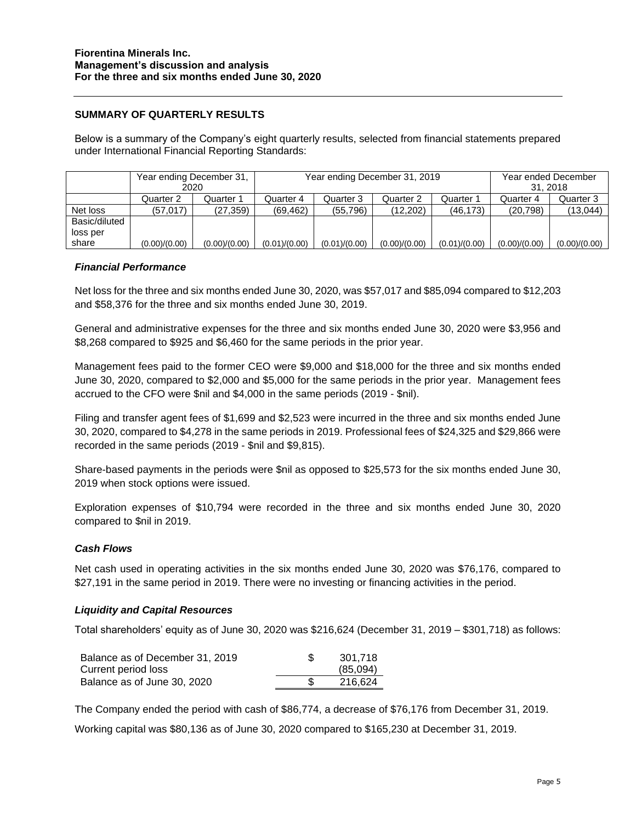## **SUMMARY OF QUARTERLY RESULTS**

Below is a summary of the Company's eight quarterly results, selected from financial statements prepared under International Financial Reporting Standards:

|               | Year ending December 31, |               | Year ending December 31, 2019 |               |               |               | Year ended December |               |
|---------------|--------------------------|---------------|-------------------------------|---------------|---------------|---------------|---------------------|---------------|
|               | 2020                     |               |                               |               |               |               | 31.2018             |               |
|               | Quarter 2                | Quarter 1     | Quarter 4                     | Quarter 3     | Quarter 2     | Quarter 1     | Quarter 4           | Quarter 3     |
| Net loss      | (57.017)                 | (27, 359)     | (69.462)                      | (55.796)      | (12.202)      | (46, 173)     | (20, 798)           | (13,044)      |
| Basic/diluted |                          |               |                               |               |               |               |                     |               |
| loss per      |                          |               |                               |               |               |               |                     |               |
| share         | (0.00)/(0.00)            | (0.00)/(0.00) | (0.01)/(0.00)                 | (0.01)/(0.00) | (0.00)/(0.00) | (0.01)/(0.00) | (0.00)/(0.00)       | (0.00)/(0.00) |

### *Financial Performance*

Net loss for the three and six months ended June 30, 2020, was \$57,017 and \$85,094 compared to \$12,203 and \$58,376 for the three and six months ended June 30, 2019.

General and administrative expenses for the three and six months ended June 30, 2020 were \$3,956 and \$8,268 compared to \$925 and \$6,460 for the same periods in the prior year.

Management fees paid to the former CEO were \$9,000 and \$18,000 for the three and six months ended June 30, 2020, compared to \$2,000 and \$5,000 for the same periods in the prior year. Management fees accrued to the CFO were \$nil and \$4,000 in the same periods (2019 - \$nil).

Filing and transfer agent fees of \$1,699 and \$2,523 were incurred in the three and six months ended June 30, 2020, compared to \$4,278 in the same periods in 2019. Professional fees of \$24,325 and \$29,866 were recorded in the same periods (2019 - \$nil and \$9,815).

Share-based payments in the periods were \$nil as opposed to \$25,573 for the six months ended June 30, 2019 when stock options were issued.

Exploration expenses of \$10,794 were recorded in the three and six months ended June 30, 2020 compared to \$nil in 2019.

### *Cash Flows*

Net cash used in operating activities in the six months ended June 30, 2020 was \$76,176, compared to \$27,191 in the same period in 2019. There were no investing or financing activities in the period.

### *Liquidity and Capital Resources*

Total shareholders' equity as of June 30, 2020 was \$216,624 (December 31, 2019 – \$301,718) as follows:

| Balance as of December 31, 2019 | 301.718  |
|---------------------------------|----------|
| Current period loss             | (85.094) |
| Balance as of June 30, 2020     | 216.624  |

The Company ended the period with cash of \$86,774, a decrease of \$76,176 from December 31, 2019.

Working capital was \$80,136 as of June 30, 2020 compared to \$165,230 at December 31, 2019.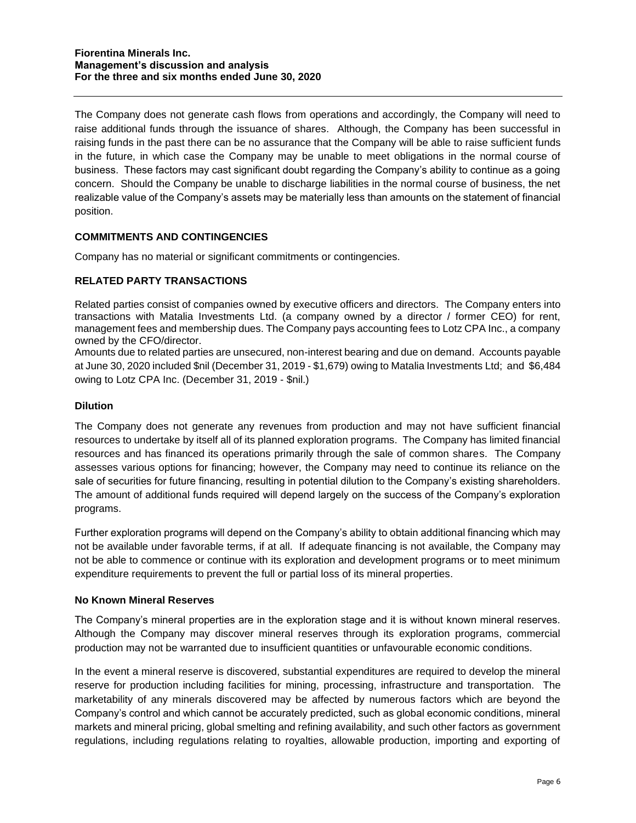The Company does not generate cash flows from operations and accordingly, the Company will need to raise additional funds through the issuance of shares. Although, the Company has been successful in raising funds in the past there can be no assurance that the Company will be able to raise sufficient funds in the future, in which case the Company may be unable to meet obligations in the normal course of business. These factors may cast significant doubt regarding the Company's ability to continue as a going concern. Should the Company be unable to discharge liabilities in the normal course of business, the net realizable value of the Company's assets may be materially less than amounts on the statement of financial position.

## **COMMITMENTS AND CONTINGENCIES**

Company has no material or significant commitments or contingencies.

## **RELATED PARTY TRANSACTIONS**

Related parties consist of companies owned by executive officers and directors. The Company enters into transactions with Matalia Investments Ltd. (a company owned by a director / former CEO) for rent, management fees and membership dues. The Company pays accounting fees to Lotz CPA Inc., a company owned by the CFO/director.

Amounts due to related parties are unsecured, non-interest bearing and due on demand. Accounts payable at June 30, 2020 included \$nil (December 31, 2019 - \$1,679) owing to Matalia Investments Ltd; and \$6,484 owing to Lotz CPA Inc. (December 31, 2019 - \$nil.)

### **Dilution**

The Company does not generate any revenues from production and may not have sufficient financial resources to undertake by itself all of its planned exploration programs. The Company has limited financial resources and has financed its operations primarily through the sale of common shares. The Company assesses various options for financing; however, the Company may need to continue its reliance on the sale of securities for future financing, resulting in potential dilution to the Company's existing shareholders. The amount of additional funds required will depend largely on the success of the Company's exploration programs.

Further exploration programs will depend on the Company's ability to obtain additional financing which may not be available under favorable terms, if at all. If adequate financing is not available, the Company may not be able to commence or continue with its exploration and development programs or to meet minimum expenditure requirements to prevent the full or partial loss of its mineral properties.

## **No Known Mineral Reserves**

The Company's mineral properties are in the exploration stage and it is without known mineral reserves. Although the Company may discover mineral reserves through its exploration programs, commercial production may not be warranted due to insufficient quantities or unfavourable economic conditions.

In the event a mineral reserve is discovered, substantial expenditures are required to develop the mineral reserve for production including facilities for mining, processing, infrastructure and transportation. The marketability of any minerals discovered may be affected by numerous factors which are beyond the Company's control and which cannot be accurately predicted, such as global economic conditions, mineral markets and mineral pricing, global smelting and refining availability, and such other factors as government regulations, including regulations relating to royalties, allowable production, importing and exporting of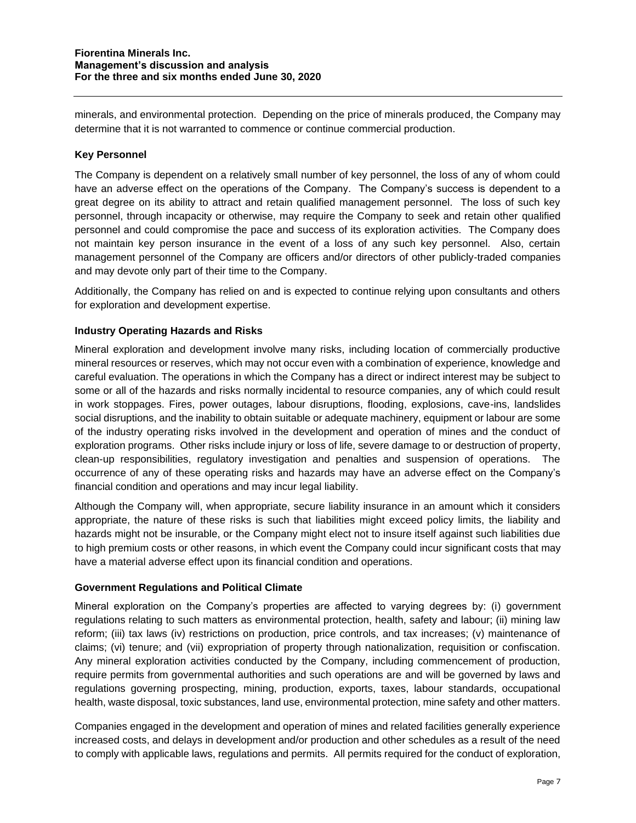minerals, and environmental protection. Depending on the price of minerals produced, the Company may determine that it is not warranted to commence or continue commercial production.

# **Key Personnel**

The Company is dependent on a relatively small number of key personnel, the loss of any of whom could have an adverse effect on the operations of the Company. The Company's success is dependent to a great degree on its ability to attract and retain qualified management personnel. The loss of such key personnel, through incapacity or otherwise, may require the Company to seek and retain other qualified personnel and could compromise the pace and success of its exploration activities. The Company does not maintain key person insurance in the event of a loss of any such key personnel. Also, certain management personnel of the Company are officers and/or directors of other publicly-traded companies and may devote only part of their time to the Company.

Additionally, the Company has relied on and is expected to continue relying upon consultants and others for exploration and development expertise.

## **Industry Operating Hazards and Risks**

Mineral exploration and development involve many risks, including location of commercially productive mineral resources or reserves, which may not occur even with a combination of experience, knowledge and careful evaluation. The operations in which the Company has a direct or indirect interest may be subject to some or all of the hazards and risks normally incidental to resource companies, any of which could result in work stoppages. Fires, power outages, labour disruptions, flooding, explosions, cave-ins, landslides social disruptions, and the inability to obtain suitable or adequate machinery, equipment or labour are some of the industry operating risks involved in the development and operation of mines and the conduct of exploration programs. Other risks include injury or loss of life, severe damage to or destruction of property, clean-up responsibilities, regulatory investigation and penalties and suspension of operations. The occurrence of any of these operating risks and hazards may have an adverse effect on the Company's financial condition and operations and may incur legal liability.

Although the Company will, when appropriate, secure liability insurance in an amount which it considers appropriate, the nature of these risks is such that liabilities might exceed policy limits, the liability and hazards might not be insurable, or the Company might elect not to insure itself against such liabilities due to high premium costs or other reasons, in which event the Company could incur significant costs that may have a material adverse effect upon its financial condition and operations.

## **Government Regulations and Political Climate**

Mineral exploration on the Company's properties are affected to varying degrees by: (i) government regulations relating to such matters as environmental protection, health, safety and labour; (ii) mining law reform; (iii) tax laws (iv) restrictions on production, price controls, and tax increases; (v) maintenance of claims; (vi) tenure; and (vii) expropriation of property through nationalization, requisition or confiscation. Any mineral exploration activities conducted by the Company, including commencement of production, require permits from governmental authorities and such operations are and will be governed by laws and regulations governing prospecting, mining, production, exports, taxes, labour standards, occupational health, waste disposal, toxic substances, land use, environmental protection, mine safety and other matters.

Companies engaged in the development and operation of mines and related facilities generally experience increased costs, and delays in development and/or production and other schedules as a result of the need to comply with applicable laws, regulations and permits. All permits required for the conduct of exploration,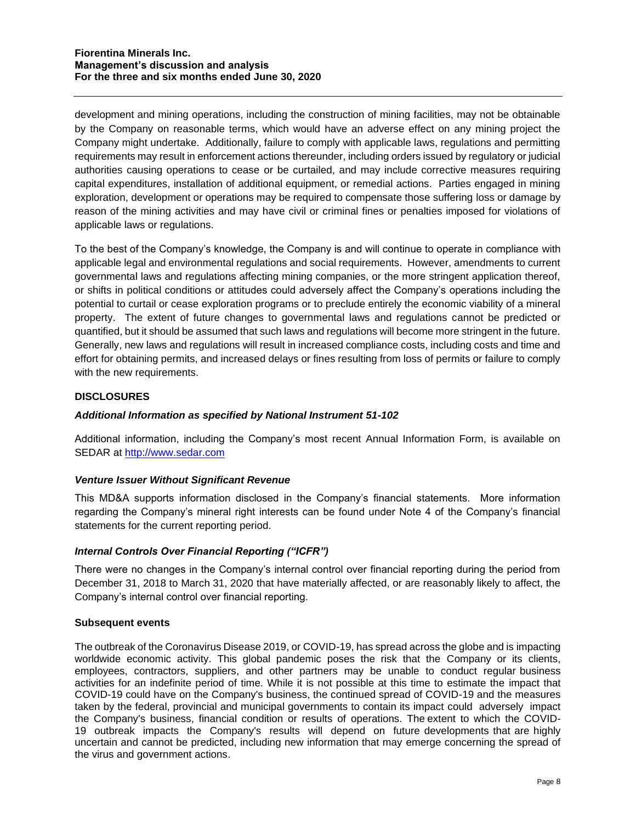development and mining operations, including the construction of mining facilities, may not be obtainable by the Company on reasonable terms, which would have an adverse effect on any mining project the Company might undertake. Additionally, failure to comply with applicable laws, regulations and permitting requirements may result in enforcement actions thereunder, including orders issued by regulatory or judicial authorities causing operations to cease or be curtailed, and may include corrective measures requiring capital expenditures, installation of additional equipment, or remedial actions. Parties engaged in mining exploration, development or operations may be required to compensate those suffering loss or damage by reason of the mining activities and may have civil or criminal fines or penalties imposed for violations of applicable laws or regulations.

To the best of the Company's knowledge, the Company is and will continue to operate in compliance with applicable legal and environmental regulations and social requirements. However, amendments to current governmental laws and regulations affecting mining companies, or the more stringent application thereof, or shifts in political conditions or attitudes could adversely affect the Company's operations including the potential to curtail or cease exploration programs or to preclude entirely the economic viability of a mineral property. The extent of future changes to governmental laws and regulations cannot be predicted or quantified, but it should be assumed that such laws and regulations will become more stringent in the future. Generally, new laws and regulations will result in increased compliance costs, including costs and time and effort for obtaining permits, and increased delays or fines resulting from loss of permits or failure to comply with the new requirements.

## **DISCLOSURES**

## *Additional Information as specified by National Instrument 51-102*

Additional information, including the Company's most recent Annual Information Form, is available on SEDAR at [http://www.sedar.com](http://www.sedar.com/)

### *Venture Issuer Without Significant Revenue*

This MD&A supports information disclosed in the Company's financial statements. More information regarding the Company's mineral right interests can be found under Note 4 of the Company's financial statements for the current reporting period.

## *Internal Controls Over Financial Reporting ("ICFR")*

There were no changes in the Company's internal control over financial reporting during the period from December 31, 2018 to March 31, 2020 that have materially affected, or are reasonably likely to affect, the Company's internal control over financial reporting.

### **Subsequent events**

The outbreak of the Coronavirus Disease 2019, or COVID-19, has spread across the globe and is impacting worldwide economic activity. This global pandemic poses the risk that the Company or its clients, employees, contractors, suppliers, and other partners may be unable to conduct regular business activities for an indefinite period of time. While it is not possible at this time to estimate the impact that COVID-19 could have on the Company's business, the continued spread of COVID-19 and the measures taken by the federal, provincial and municipal governments to contain its impact could adversely impact the Company's business, financial condition or results of operations. The extent to which the COVID-19 outbreak impacts the Company's results will depend on future developments that are highly uncertain and cannot be predicted, including new information that may emerge concerning the spread of the virus and government actions.